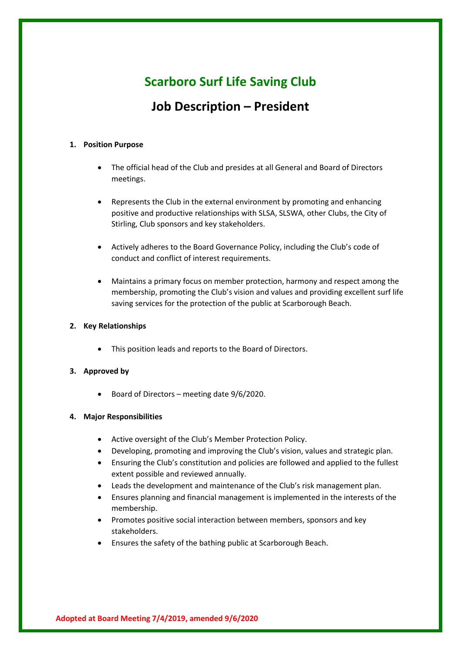# **Scarboro Surf Life Saving Club**

## **Job Description – President**

#### **1. Position Purpose**

- The official head of the Club and presides at all General and Board of Directors meetings.
- Represents the Club in the external environment by promoting and enhancing positive and productive relationships with SLSA, SLSWA, other Clubs, the City of Stirling, Club sponsors and key stakeholders.
- Actively adheres to the Board Governance Policy, including the Club's code of conduct and conflict of interest requirements.
- Maintains a primary focus on member protection, harmony and respect among the membership, promoting the Club's vision and values and providing excellent surf life saving services for the protection of the public at Scarborough Beach.

### **2. Key Relationships**

This position leads and reports to the Board of Directors.

#### **3. Approved by**

• Board of Directors – meeting date 9/6/2020.

#### **4. Major Responsibilities**

- Active oversight of the Club's Member Protection Policy.
- Developing, promoting and improving the Club's vision, values and strategic plan.
- Ensuring the Club's constitution and policies are followed and applied to the fullest extent possible and reviewed annually.
- Leads the development and maintenance of the Club's risk management plan.
- Ensures planning and financial management is implemented in the interests of the membership.
- Promotes positive social interaction between members, sponsors and key stakeholders.
- Ensures the safety of the bathing public at Scarborough Beach.